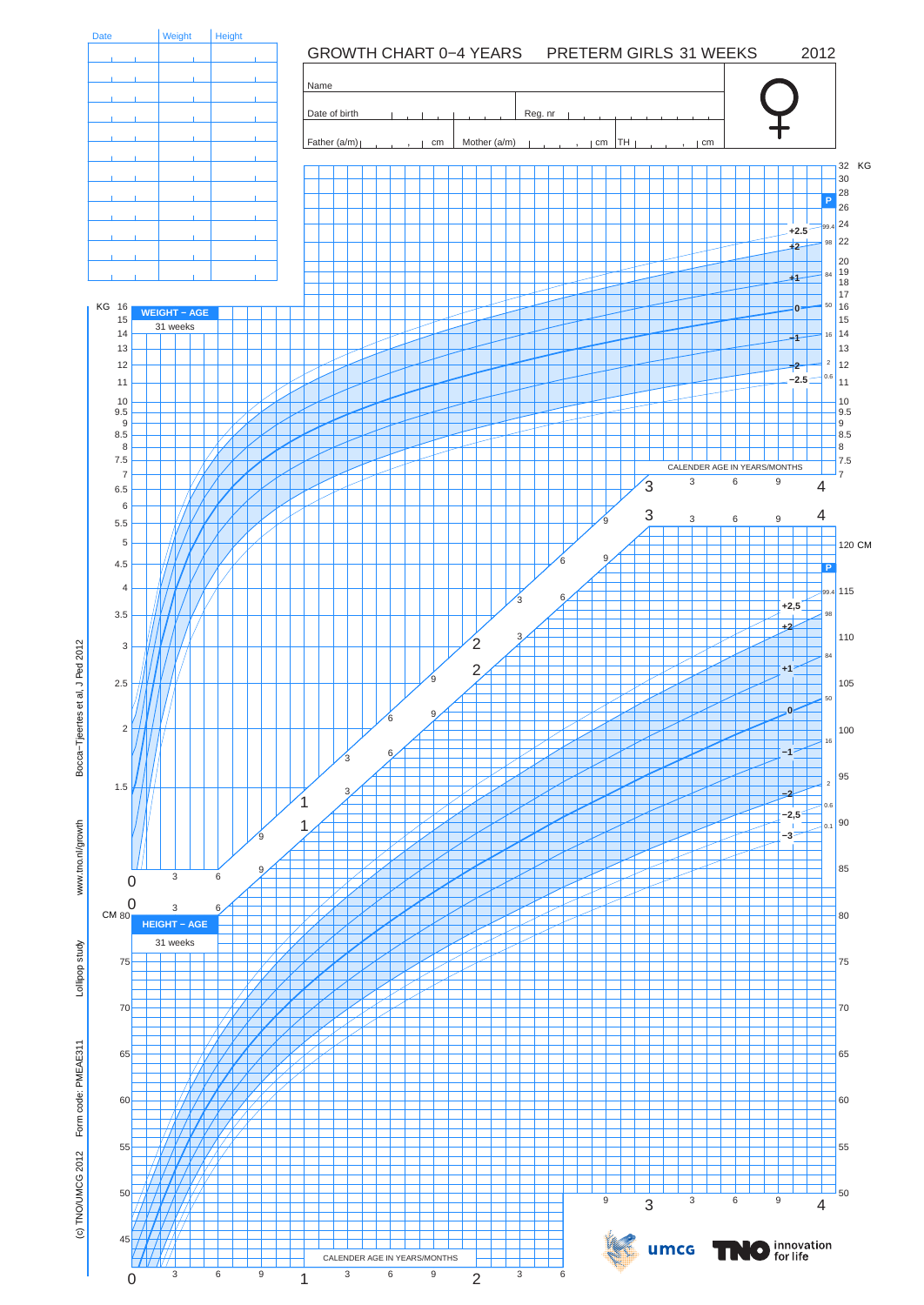